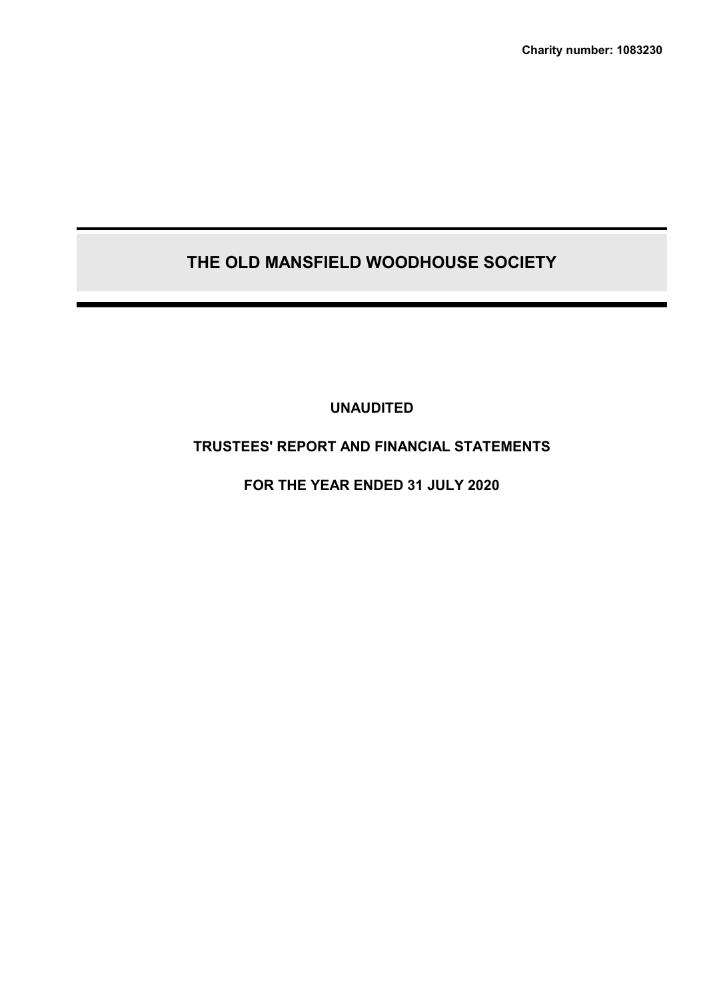**Charity number: 1083230**

# **THE OLD MANSFIELD WOODHOUSE SOCIETY**

**UNAUDITED**

# **TRUSTEES' REPORT AND FINANCIAL STATEMENTS**

**FOR THE YEAR ENDED 31 JULY 2020**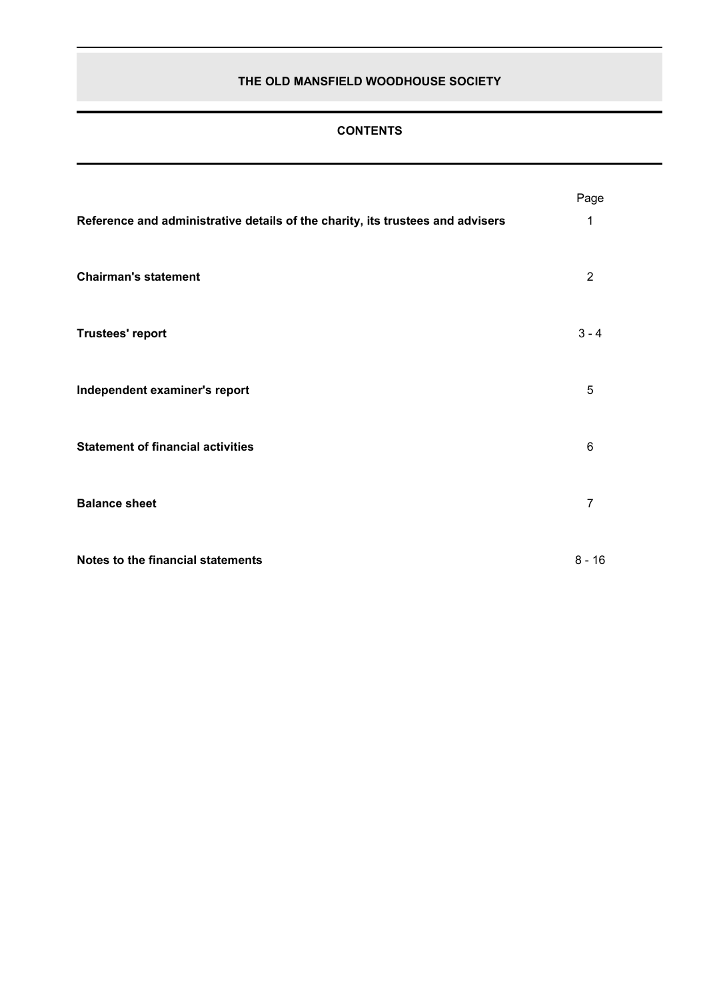# **CONTENTS**

|                                                                                | Page           |
|--------------------------------------------------------------------------------|----------------|
| Reference and administrative details of the charity, its trustees and advisers | 1              |
| <b>Chairman's statement</b>                                                    | $\overline{2}$ |
| <b>Trustees' report</b>                                                        | $3 - 4$        |
| Independent examiner's report                                                  | 5              |
| <b>Statement of financial activities</b>                                       | 6              |
| <b>Balance sheet</b>                                                           | $\overline{7}$ |
| Notes to the financial statements                                              | $8 - 16$       |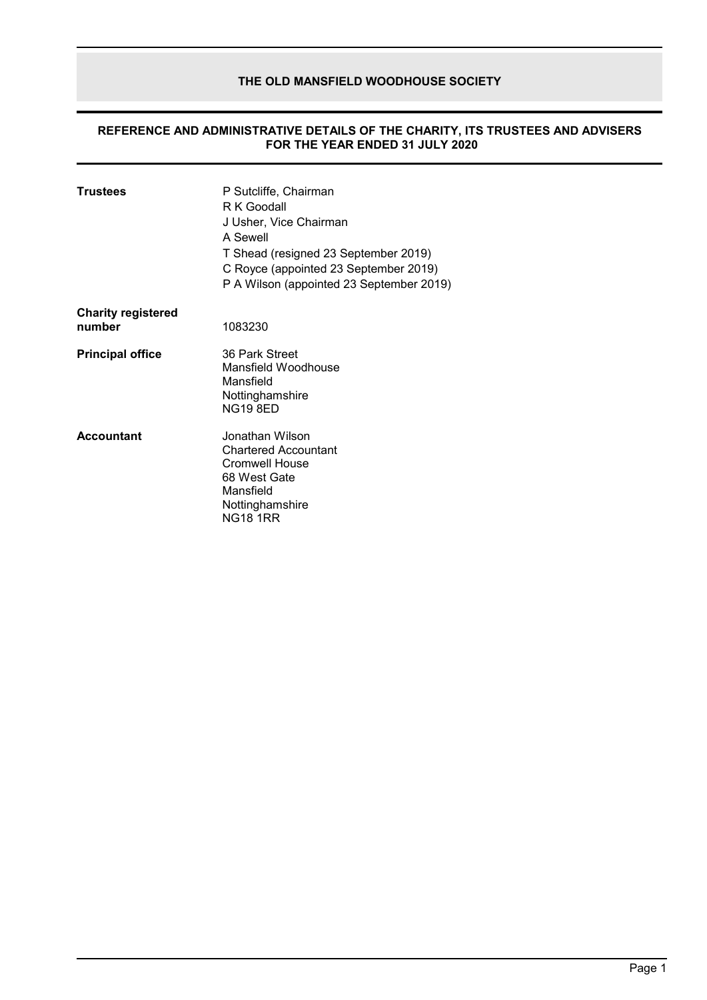#### **REFERENCE AND ADMINISTRATIVE DETAILS OF THE CHARITY, ITS TRUSTEES AND ADVISERS FOR THE YEAR ENDED 31 JULY 2020**

| <b>Trustees</b>                     | P Sutcliffe, Chairman<br>R K Goodall<br>J Usher, Vice Chairman<br>A Sewell<br>T Shead (resigned 23 September 2019)<br>C Royce (appointed 23 September 2019)<br>P A Wilson (appointed 23 September 2019) |
|-------------------------------------|---------------------------------------------------------------------------------------------------------------------------------------------------------------------------------------------------------|
| <b>Charity registered</b><br>number | 1083230                                                                                                                                                                                                 |
| <b>Principal office</b>             | 36 Park Street<br>Mansfield Woodhouse<br>Mansfield<br>Nottinghamshire<br><b>NG19 8ED</b>                                                                                                                |
| <b>Accountant</b>                   | Jonathan Wilson.<br>Chartered Accountant<br>Cromwell House<br>68 West Gate<br>Mansfield<br>Nottinghamshire<br><b>NG18 1RR</b>                                                                           |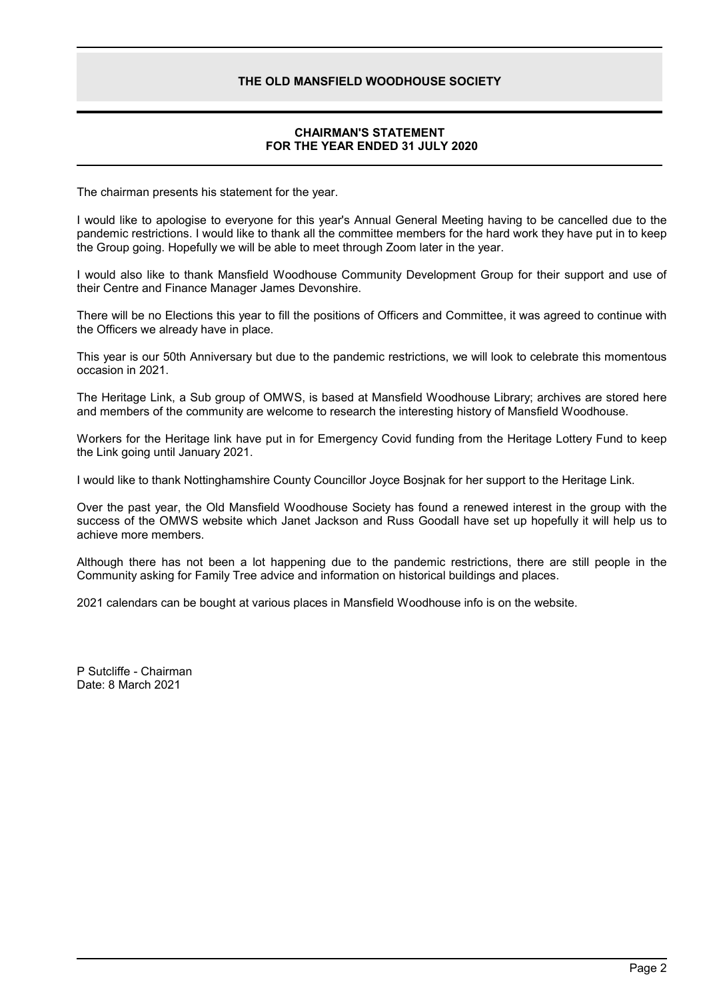# **CHAIRMAN'S STATEMENT FOR THE YEAR ENDED 31 JULY 2020**

The chairman presents his statement for the year.

I would like to apologise to everyone for this year's Annual General Meeting having to be cancelled due to the pandemic restrictions. I would like to thank all the committee members for the hard work they have put in to keep the Group going. Hopefully we will be able to meet through Zoom later in the year.

I would also like to thank Mansfield Woodhouse Community Development Group for their support and use of their Centre and Finance Manager James Devonshire.

There will be no Elections this year to fill the positions of Officers and Committee, it was agreed to continue with the Officers we already have in place.

This year is our 50th Anniversary but due to the pandemic restrictions, we will look to celebrate this momentous occasion in 2021.

The Heritage Link, a Sub group of OMWS, is based at Mansfield Woodhouse Library; archives are stored here and members of the community are welcome to research the interesting history of Mansfield Woodhouse.

Workers for the Heritage link have put in for Emergency Covid funding from the Heritage Lottery Fund to keep the Link going until January 2021.

I would like to thank Nottinghamshire County Councillor Joyce Bosjnak for her support to the Heritage Link.

Over the past year, the Old Mansfield Woodhouse Society has found a renewed interest in the group with the success of the OMWS website which Janet Jackson and Russ Goodall have set up hopefully it will help us to achieve more members.

Although there has not been a lot happening due to the pandemic restrictions, there are still people in the Community asking for Family Tree advice and information on historical buildings and places.

2021 calendars can be bought at various places in Mansfield Woodhouse info is on the website.

P Sutcliffe - Chairman Date: 8 March 2021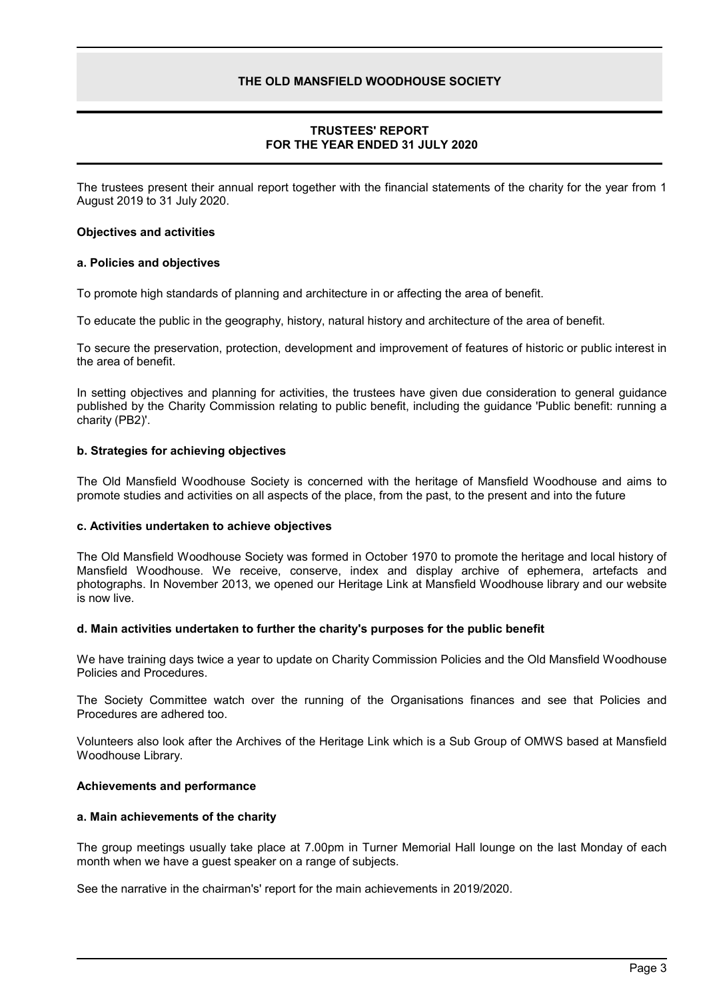# **TRUSTEES' REPORT FOR THE YEAR ENDED 31 JULY 2020**

The trustees present their annual report together with the financial statements of the charity for the year from 1 August 2019 to 31 July 2020.

### **Objectives and activities**

#### **a. Policies and objectives**

To promote high standards of planning and architecture in or affecting the area of benefit.

To educate the public in the geography, history, natural history and architecture of the area of benefit.

To secure the preservation, protection, development and improvement of features of historic or public interest in the area of benefit.

In setting objectives and planning for activities, the trustees have given due consideration to general guidance published by the Charity Commission relating to public benefit, including the guidance 'Public benefit: running a charity (PB2)'.

# **b. Strategies for achieving objectives**

The Old Mansfield Woodhouse Society is concerned with the heritage of Mansfield Woodhouse and aims to promote studies and activities on all aspects of the place, from the past, to the present and into the future

# **c. Activities undertaken to achieve objectives**

The Old Mansfield Woodhouse Society was formed in October 1970 to promote the heritage and local history of Mansfield Woodhouse. We receive, conserve, index and display archive of ephemera, artefacts and photographs. In November 2013, we opened our Heritage Link at Mansfield Woodhouse library and our website is now live.

#### **d. Main activities undertaken to further the charity's purposes for the public benefit**

We have training days twice a year to update on Charity Commission Policies and the Old Mansfield Woodhouse Policies and Procedures.

The Society Committee watch over the running of the Organisations finances and see that Policies and Procedures are adhered too.

Volunteers also look after the Archives of the Heritage Link which is a Sub Group of OMWS based at Mansfield Woodhouse Library.

# **Achievements and performance**

# **a. Main achievements of the charity**

The group meetings usually take place at 7.00pm in Turner Memorial Hall lounge on the last Monday of each month when we have a guest speaker on a range of subjects.

See the narrative in the chairman's' report for the main achievements in 2019/2020.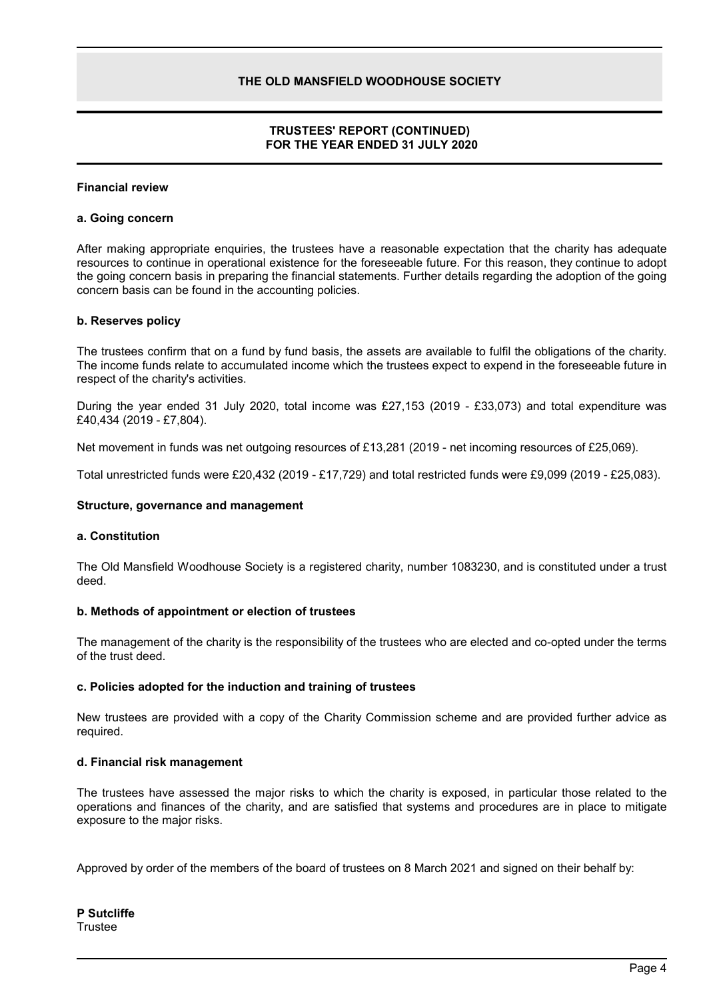# **TRUSTEES' REPORT (CONTINUED) FOR THE YEAR ENDED 31 JULY 2020**

#### **Financial review**

#### **a. Going concern**

After making appropriate enquiries, the trustees have a reasonable expectation that the charity has adequate resources to continue in operational existence for the foreseeable future. For this reason, they continue to adopt the going concern basis in preparing the financial statements. Further details regarding the adoption of the going concern basis can be found in the accounting policies.

### **b. Reserves policy**

The trustees confirm that on a fund by fund basis, the assets are available to fulfil the obligations of the charity. The income funds relate to accumulated income which the trustees expect to expend in the foreseeable future in respect of the charity's activities.

During the year ended 31 July 2020, total income was £27,153 (2019 - £33,073) and total expenditure was £40,434 (2019 - £7,804).

Net movement in funds was net outgoing resources of £13,281 (2019 - net incoming resources of £25,069).

Total unrestricted funds were £20,432 (2019 - £17,729) and total restricted funds were £9,099 (2019 - £25,083).

#### **Structure, governance and management**

#### **a. Constitution**

The Old Mansfield Woodhouse Society is a registered charity, number 1083230, and is constituted under a trust deed.

#### **b. Methods of appointment or election of trustees**

The management of the charity is the responsibility of the trustees who are elected and co-opted under the terms of the trust deed.

#### **c. Policies adopted for the induction and training of trustees**

New trustees are provided with a copy of the Charity Commission scheme and are provided further advice as required.

#### **d. Financial risk management**

The trustees have assessed the major risks to which the charity is exposed, in particular those related to the operations and finances of the charity, and are satisfied that systems and procedures are in place to mitigate exposure to the major risks.

Approved by order of the members of the board of trustees on 8 March 2021 and signed on their behalf by: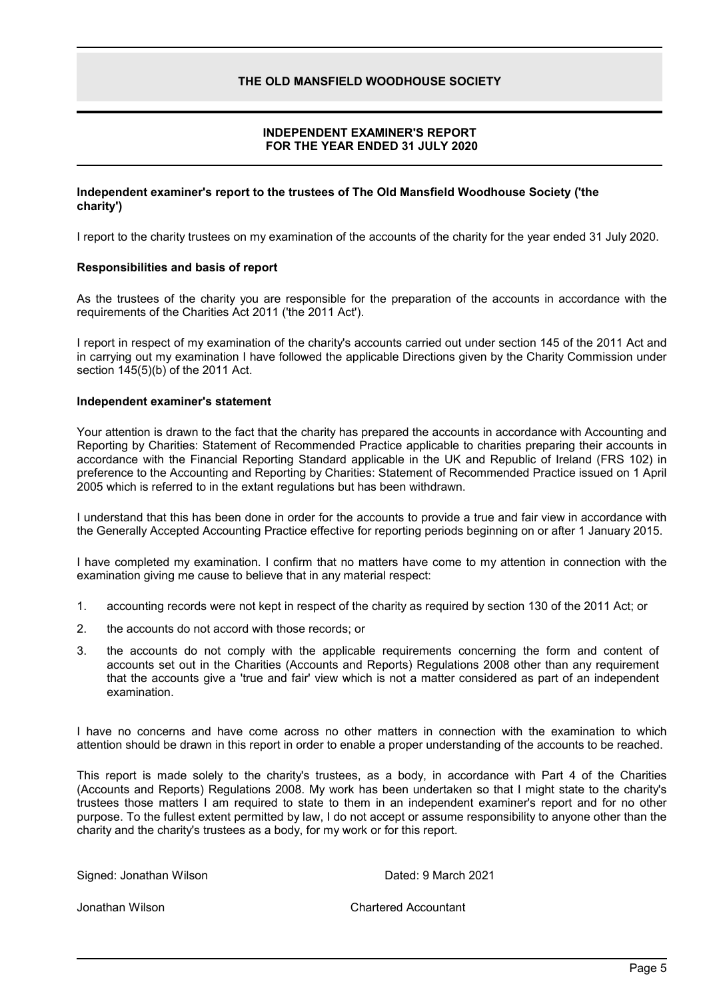# **INDEPENDENT EXAMINER'S REPORT FOR THE YEAR ENDED 31 JULY 2020**

#### **Independent examiner's report to the trustees of The Old Mansfield Woodhouse Society ('the charity')**

I report to the charity trustees on my examination of the accounts of the charity for the year ended 31 July 2020.

#### **Responsibilities and basis of report**

As the trustees of the charity you are responsible for the preparation of the accounts in accordance with the requirements of the Charities Act 2011 ('the 2011 Act').

I report in respect of my examination of the charity's accounts carried out under section 145 of the 2011 Act and in carrying out my examination I have followed the applicable Directions given by the Charity Commission under section 145(5)(b) of the 2011 Act.

#### **Independent examiner's statement**

Your attention is drawn to the fact that the charity has prepared the accounts in accordance with Accounting and Reporting by Charities: Statement of Recommended Practice applicable to charities preparing their accounts in accordance with the Financial Reporting Standard applicable in the UK and Republic of Ireland (FRS 102) in preference to the Accounting and Reporting by Charities: Statement of Recommended Practice issued on 1 April 2005 which is referred to in the extant regulations but has been withdrawn.

I understand that this has been done in order for the accounts to provide a true and fair view in accordance with the Generally Accepted Accounting Practice effective for reporting periods beginning on or after 1 January 2015.

I have completed my examination. I confirm that no matters have come to my attention in connection with the examination giving me cause to believe that in any material respect:

- 1. accounting records were not kept in respect of the charity as required by section 130 of the 2011 Act; or
- 2. the accounts do not accord with those records; or
- 3. the accounts do not comply with the applicable requirements concerning the form and content of accounts set out in the Charities (Accounts and Reports) Regulations 2008 other than any requirement that the accounts give a 'true and fair' view which is not a matter considered as part of an independent examination.

I have no concerns and have come across no other matters in connection with the examination to which attention should be drawn in this report in order to enable a proper understanding of the accounts to be reached.

This report is made solely to the charity's trustees, as a body, in accordance with Part 4 of the Charities (Accounts and Reports) Regulations 2008. My work has been undertaken so that I might state to the charity's trustees those matters I am required to state to them in an independent examiner's report and for no other purpose. To the fullest extent permitted by law, I do not accept or assume responsibility to anyone other than the charity and the charity's trustees as a body, for my work or for this report.

Signed: Jonathan Wilson **Dated: 9 March 2021** 

Jonathan Wilson Chartered Accountant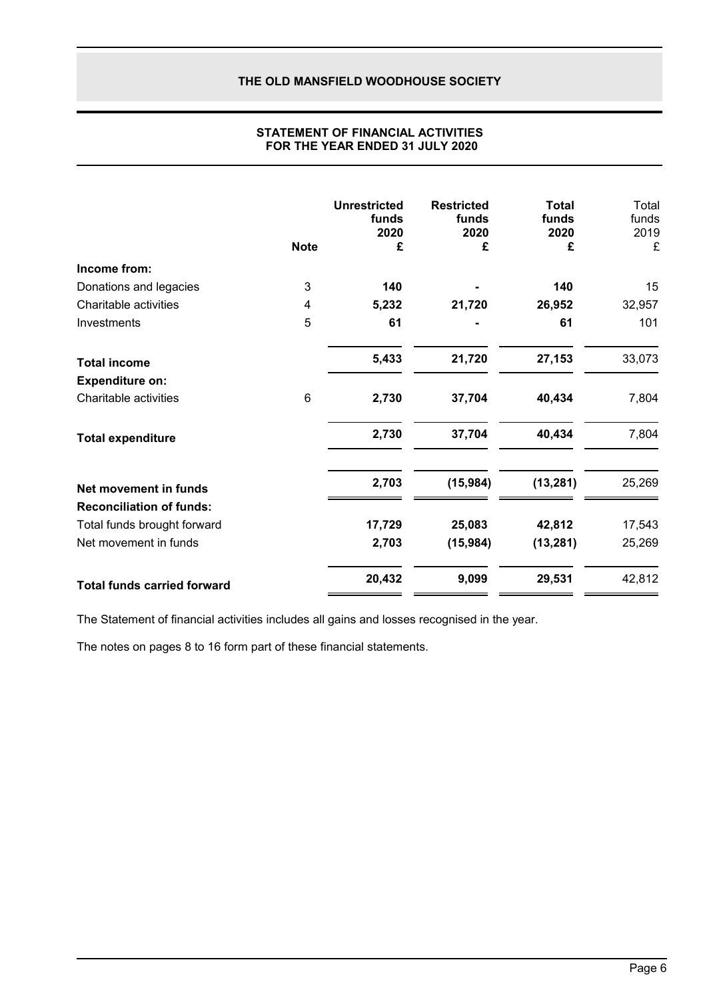|                                    | <b>Note</b> | <b>Unrestricted</b><br>funds<br>2020<br>£ | <b>Restricted</b><br>funds<br>2020<br>£ | <b>Total</b><br>funds<br>2020<br>£ | Total<br>funds<br>2019<br>£ |
|------------------------------------|-------------|-------------------------------------------|-----------------------------------------|------------------------------------|-----------------------------|
| Income from:                       |             |                                           |                                         |                                    |                             |
| Donations and legacies             | 3           | 140                                       |                                         | 140                                | 15                          |
| Charitable activities              | 4           | 5,232                                     | 21,720                                  | 26,952                             | 32,957                      |
| Investments                        | 5           | 61                                        |                                         | 61                                 | 101                         |
| <b>Total income</b>                |             | 5,433                                     | 21,720                                  | 27,153                             | 33,073                      |
| <b>Expenditure on:</b>             |             |                                           |                                         |                                    |                             |
| Charitable activities              | 6           | 2,730                                     | 37,704                                  | 40,434                             | 7,804                       |
| <b>Total expenditure</b>           |             | 2,730                                     | 37,704                                  | 40,434                             | 7,804                       |
| Net movement in funds              |             | 2,703                                     | (15,984)                                | (13, 281)                          | 25,269                      |
| <b>Reconciliation of funds:</b>    |             |                                           |                                         |                                    |                             |
| Total funds brought forward        |             | 17,729                                    | 25,083                                  | 42,812                             | 17,543                      |
| Net movement in funds              |             | 2,703                                     | (15, 984)                               | (13, 281)                          | 25,269                      |
| <b>Total funds carried forward</b> |             | 20,432                                    | 9,099                                   | 29,531                             | 42,812                      |

# **STATEMENT OF FINANCIAL ACTIVITIES FOR THE YEAR ENDED 31 JULY 2020**

The Statement of financial activities includes all gains and losses recognised in the year.

The notes on pages 8 to 16 form part of these financial statements.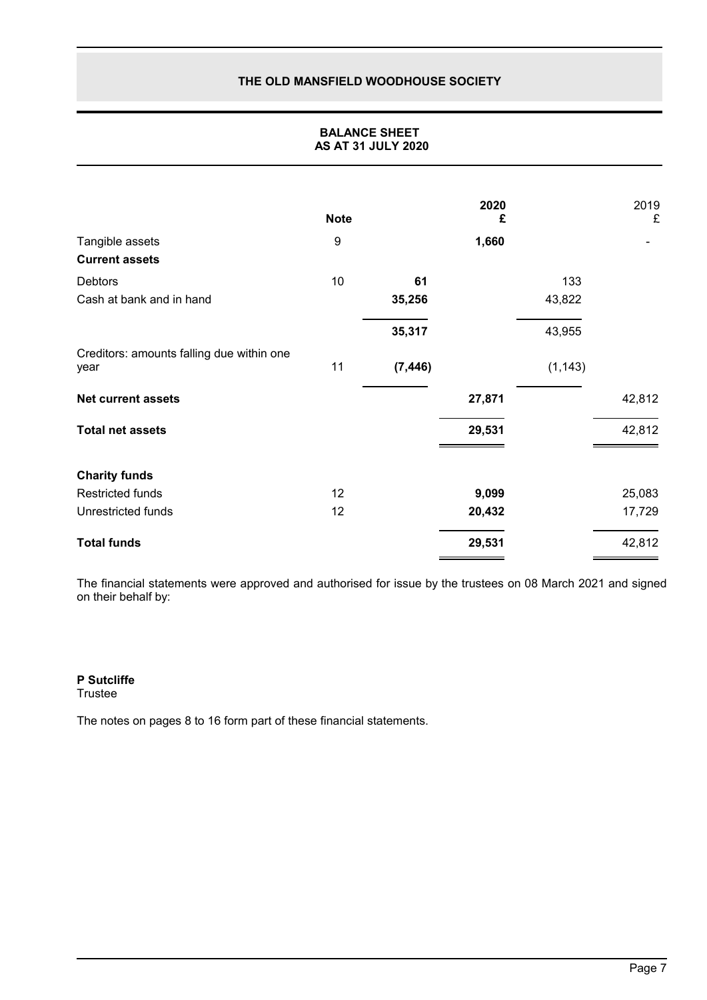# **BALANCE SHEET AS AT 31 JULY 2020**

|                                                   | <b>Note</b> |          | 2020<br>£ |          | 2019<br>£ |
|---------------------------------------------------|-------------|----------|-----------|----------|-----------|
| Tangible assets                                   | 9           |          | 1,660     |          |           |
| <b>Current assets</b>                             |             |          |           |          |           |
| Debtors                                           | 10          | 61       |           | 133      |           |
| Cash at bank and in hand                          |             | 35,256   |           | 43,822   |           |
|                                                   |             | 35,317   |           | 43,955   |           |
| Creditors: amounts falling due within one<br>year | 11          | (7, 446) |           | (1, 143) |           |
| <b>Net current assets</b>                         |             |          | 27,871    |          | 42,812    |
| <b>Total net assets</b>                           |             |          | 29,531    |          | 42,812    |
| <b>Charity funds</b>                              |             |          |           |          |           |
| <b>Restricted funds</b>                           | 12          |          | 9,099     |          | 25,083    |
| Unrestricted funds                                | 12          |          | 20,432    |          | 17,729    |
| <b>Total funds</b>                                |             |          | 29,531    |          | 42,812    |

The financial statements were approved and authorised for issue by the trustees on 08 March 2021 and signed on their behalf by:

# **P Sutcliffe**

Trustee

The notes on pages 8 to 16 form part of these financial statements.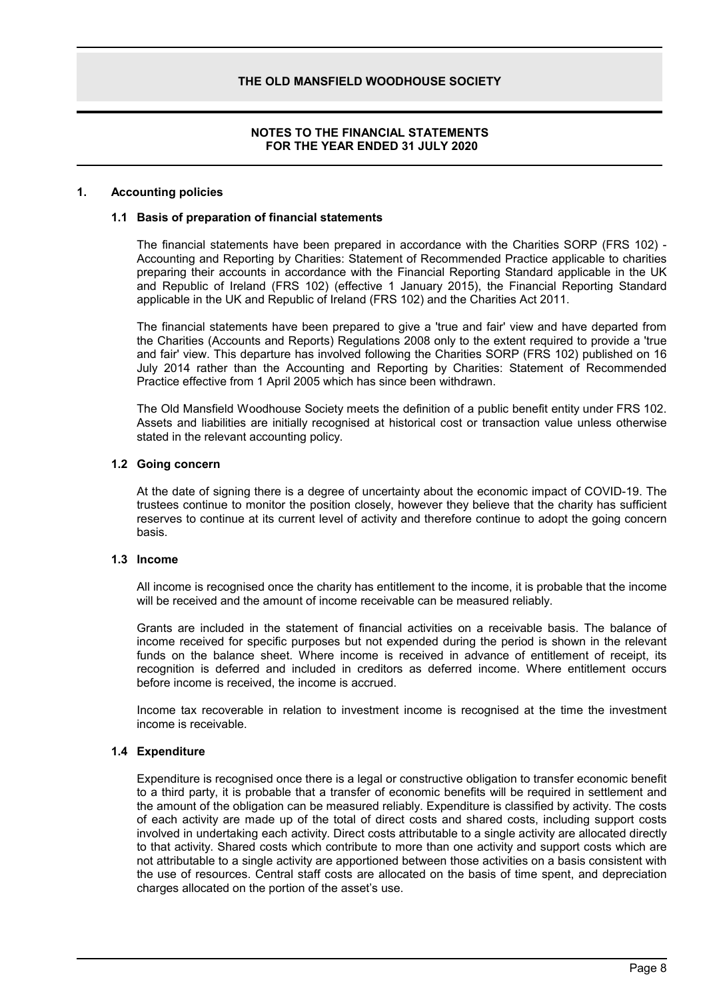### **NOTES TO THE FINANCIAL STATEMENTS FOR THE YEAR ENDED 31 JULY 2020**

#### **1. Accounting policies**

#### **1.1 Basis of preparation of financial statements**

The financial statements have been prepared in accordance with the Charities SORP (FRS 102) - Accounting and Reporting by Charities: Statement of Recommended Practice applicable to charities preparing their accounts in accordance with the Financial Reporting Standard applicable in the UK and Republic of Ireland (FRS 102) (effective 1 January 2015), the Financial Reporting Standard applicable in the UK and Republic of Ireland (FRS 102) and the Charities Act 2011.

The financial statements have been prepared to give a 'true and fair' view and have departed from the Charities (Accounts and Reports) Regulations 2008 only to the extent required to provide a 'true and fair' view. This departure has involved following the Charities SORP (FRS 102) published on 16 July 2014 rather than the Accounting and Reporting by Charities: Statement of Recommended Practice effective from 1 April 2005 which has since been withdrawn.

The Old Mansfield Woodhouse Society meets the definition of a public benefit entity under FRS 102. Assets and liabilities are initially recognised at historical cost or transaction value unless otherwise stated in the relevant accounting policy.

#### **1.2 Going concern**

At the date of signing there is a degree of uncertainty about the economic impact of COVID-19. The trustees continue to monitor the position closely, however they believe that the charity has sufficient reserves to continue at its current level of activity and therefore continue to adopt the going concern basis.

#### **1.3 Income**

All income is recognised once the charity has entitlement to the income, it is probable that the income will be received and the amount of income receivable can be measured reliably.

Grants are included in the statement of financial activities on a receivable basis. The balance of income received for specific purposes but not expended during the period is shown in the relevant funds on the balance sheet. Where income is received in advance of entitlement of receipt, its recognition is deferred and included in creditors as deferred income. Where entitlement occurs before income is received, the income is accrued.

Income tax recoverable in relation to investment income is recognised at the time the investment income is receivable.

#### **1.4 Expenditure**

Expenditure is recognised once there is a legal or constructive obligation to transfer economic benefit to a third party, it is probable that a transfer of economic benefits will be required in settlement and the amount of the obligation can be measured reliably. Expenditure is classified by activity. The costs of each activity are made up of the total of direct costs and shared costs, including support costs involved in undertaking each activity. Direct costs attributable to a single activity are allocated directly to that activity. Shared costs which contribute to more than one activity and support costs which are not attributable to a single activity are apportioned between those activities on a basis consistent with the use of resources. Central staff costs are allocated on the basis of time spent, and depreciation charges allocated on the portion of the asset's use.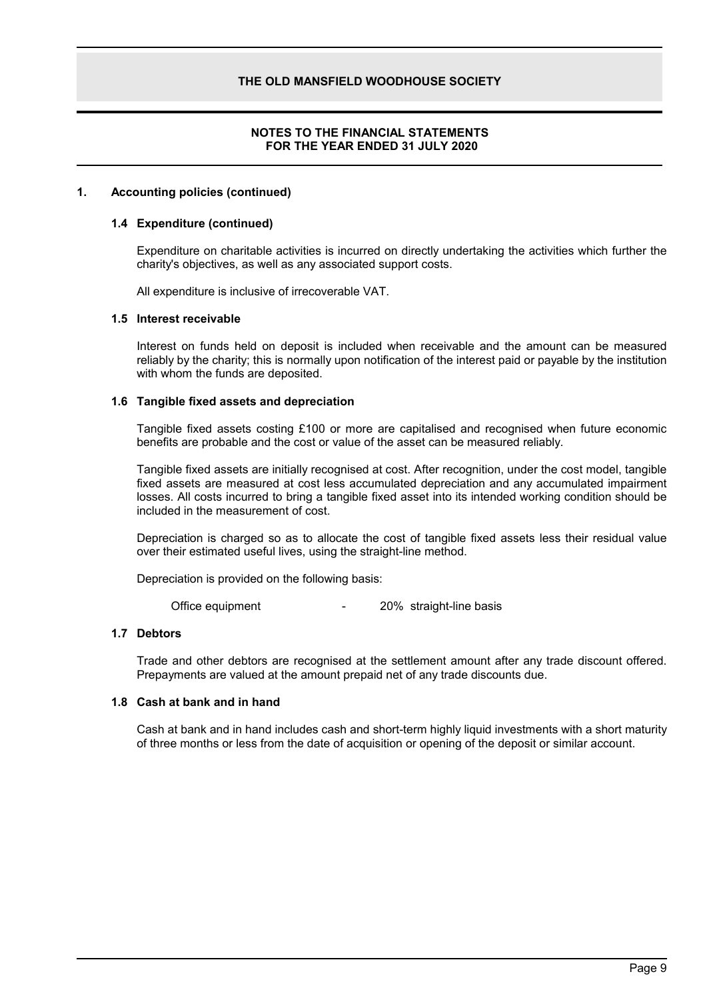# **NOTES TO THE FINANCIAL STATEMENTS FOR THE YEAR ENDED 31 JULY 2020**

### **1. Accounting policies (continued)**

#### **1.4 Expenditure (continued)**

Expenditure on charitable activities is incurred on directly undertaking the activities which further the charity's objectives, as well as any associated support costs.

All expenditure is inclusive of irrecoverable VAT.

#### **1.5 Interest receivable**

Interest on funds held on deposit is included when receivable and the amount can be measured reliably by the charity; this is normally upon notification of the interest paid or payable by the institution with whom the funds are deposited.

#### **1.6 Tangible fixed assets and depreciation**

Tangible fixed assets costing £100 or more are capitalised and recognised when future economic benefits are probable and the cost or value of the asset can be measured reliably.

Tangible fixed assets are initially recognised at cost. After recognition, under the cost model, tangible fixed assets are measured at cost less accumulated depreciation and any accumulated impairment losses. All costs incurred to bring a tangible fixed asset into its intended working condition should be included in the measurement of cost.

Depreciation is charged so as to allocate the cost of tangible fixed assets less their residual value over their estimated useful lives, using the straight-line method.

Depreciation is provided on the following basis:

Office equipment The COME of the COME of the basis of the equipment

#### **1.7 Debtors**

Trade and other debtors are recognised at the settlement amount after any trade discount offered. Prepayments are valued at the amount prepaid net of any trade discounts due.

### **1.8 Cash at bank and in hand**

Cash at bank and in hand includes cash and short-term highly liquid investments with a short maturity of three months or less from the date of acquisition or opening of the deposit or similar account.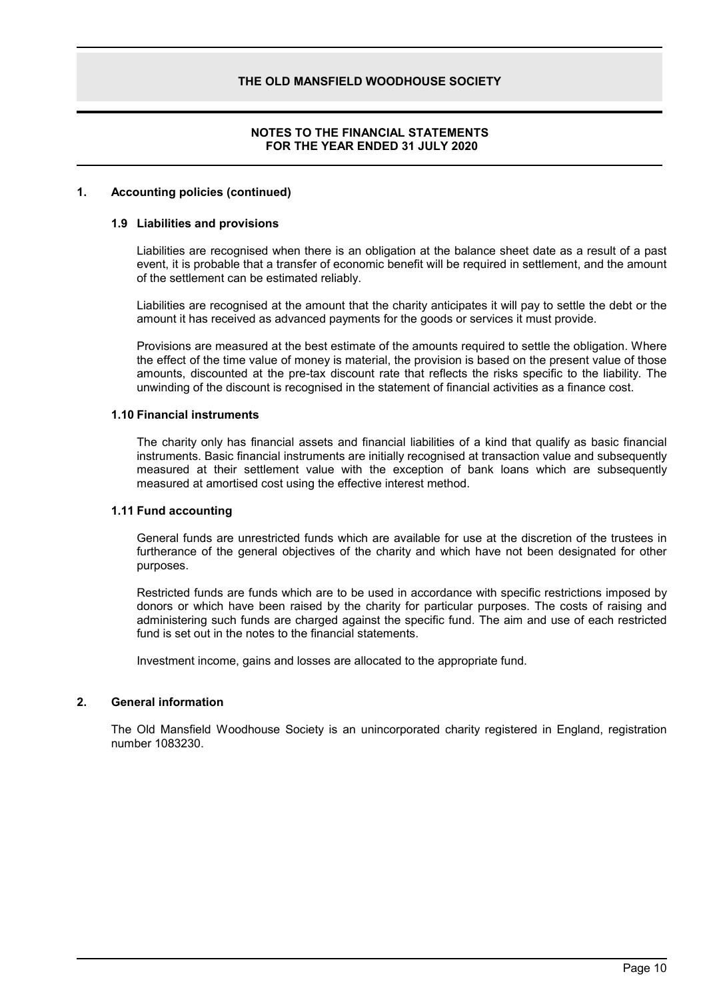# **NOTES TO THE FINANCIAL STATEMENTS FOR THE YEAR ENDED 31 JULY 2020**

#### **1. Accounting policies (continued)**

#### **1.9 Liabilities and provisions**

Liabilities are recognised when there is an obligation at the balance sheet date as a result of a past event, it is probable that a transfer of economic benefit will be required in settlement, and the amount of the settlement can be estimated reliably.

Liabilities are recognised at the amount that the charity anticipates it will pay to settle the debt or the amount it has received as advanced payments for the goods or services it must provide.

Provisions are measured at the best estimate of the amounts required to settle the obligation. Where the effect of the time value of money is material, the provision is based on the present value of those amounts, discounted at the pre-tax discount rate that reflects the risks specific to the liability. The unwinding of the discount is recognised in the statement of financial activities as a finance cost.

#### **1.10 Financial instruments**

The charity only has financial assets and financial liabilities of a kind that qualify as basic financial instruments. Basic financial instruments are initially recognised at transaction value and subsequently measured at their settlement value with the exception of bank loans which are subsequently measured at amortised cost using the effective interest method.

#### **1.11 Fund accounting**

General funds are unrestricted funds which are available for use at the discretion of the trustees in furtherance of the general objectives of the charity and which have not been designated for other purposes.

Restricted funds are funds which are to be used in accordance with specific restrictions imposed by donors or which have been raised by the charity for particular purposes. The costs of raising and administering such funds are charged against the specific fund. The aim and use of each restricted fund is set out in the notes to the financial statements.

Investment income, gains and losses are allocated to the appropriate fund.

# **2. General information**

The Old Mansfield Woodhouse Society is an unincorporated charity registered in England, registration number 1083230.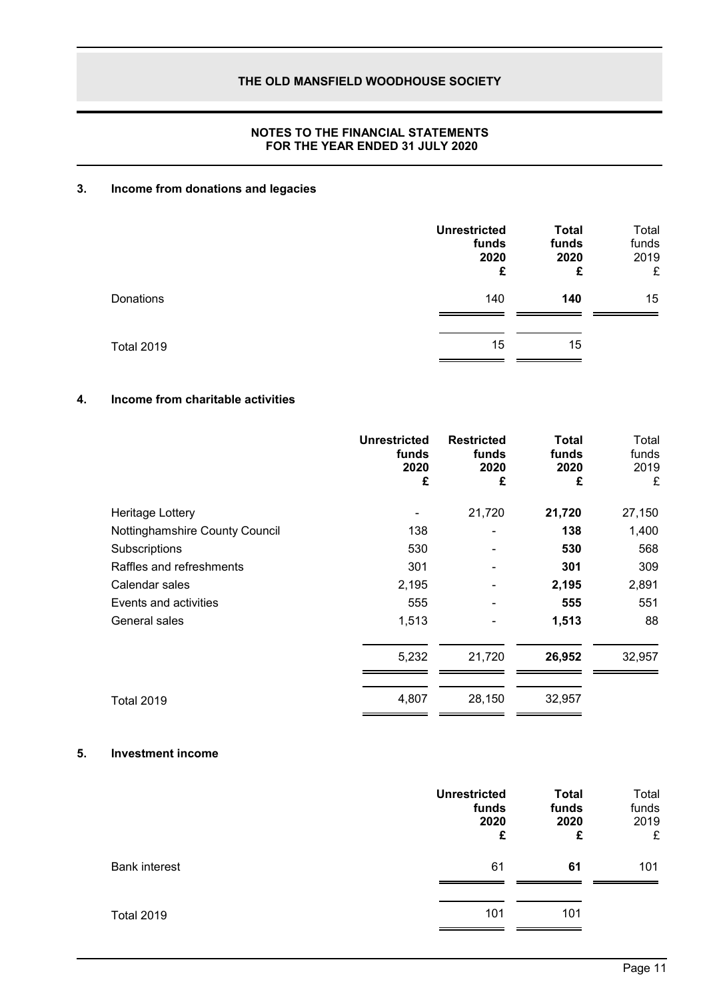# **NOTES TO THE FINANCIAL STATEMENTS FOR THE YEAR ENDED 31 JULY 2020**

# **3. Income from donations and legacies**

|                   | <b>Unrestricted</b><br>funds<br>2020<br>£ | <b>Total</b><br>funds<br>2020<br>£ | Total<br>funds<br>2019<br>£ |
|-------------------|-------------------------------------------|------------------------------------|-----------------------------|
| Donations         | 140                                       | 140                                | 15                          |
| <b>Total 2019</b> | 15                                        | 15                                 |                             |

# **4. Income from charitable activities**

|                                | <b>Unrestricted</b><br>funds<br>2020<br>£ | <b>Restricted</b><br>funds<br>2020<br>£ | <b>Total</b><br>funds<br>2020<br>£ | Total<br>funds<br>2019<br>£ |
|--------------------------------|-------------------------------------------|-----------------------------------------|------------------------------------|-----------------------------|
| Heritage Lottery               |                                           | 21,720                                  | 21,720                             | 27,150                      |
| Nottinghamshire County Council | 138                                       |                                         | 138                                | 1,400                       |
| Subscriptions                  | 530                                       |                                         | 530                                | 568                         |
| Raffles and refreshments       | 301                                       |                                         | 301                                | 309                         |
| Calendar sales                 | 2,195                                     |                                         | 2,195                              | 2,891                       |
| Events and activities          | 555                                       |                                         | 555                                | 551                         |
| General sales                  | 1,513                                     |                                         | 1,513                              | 88                          |
|                                | 5,232                                     | 21,720                                  | 26,952                             | 32,957                      |
| Total 2019                     | 4,807                                     | 28,150                                  | 32,957                             |                             |

# **5. Investment income**

|                      | <b>Unrestricted</b><br>funds<br>2020<br>£ | <b>Total</b><br>funds<br>2020<br>£ | Total<br>funds<br>2019<br>£ |
|----------------------|-------------------------------------------|------------------------------------|-----------------------------|
| <b>Bank interest</b> | 61                                        | 61                                 | 101                         |
| <b>Total 2019</b>    | 101                                       | 101                                |                             |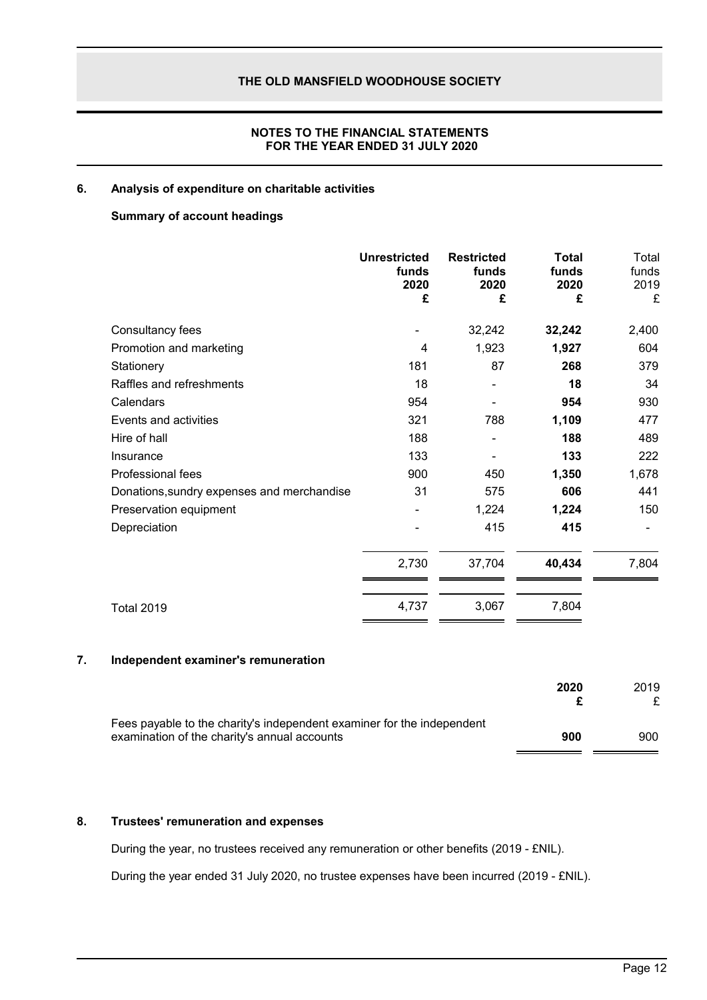# **NOTES TO THE FINANCIAL STATEMENTS FOR THE YEAR ENDED 31 JULY 2020**

# **6. Analysis of expenditure on charitable activities**

# **Summary of account headings**

|                                            | <b>Unrestricted</b><br>funds<br>2020<br>£ | <b>Restricted</b><br>funds<br>2020<br>£ | <b>Total</b><br>funds<br>2020<br>£ | Total<br>funds<br>2019<br>£ |
|--------------------------------------------|-------------------------------------------|-----------------------------------------|------------------------------------|-----------------------------|
| Consultancy fees                           |                                           | 32,242                                  | 32,242                             | 2,400                       |
| Promotion and marketing                    | 4                                         | 1,923                                   | 1,927                              | 604                         |
| Stationery                                 | 181                                       | 87                                      | 268                                | 379                         |
| Raffles and refreshments                   | 18                                        | ۰                                       | 18                                 | 34                          |
| Calendars                                  | 954                                       |                                         | 954                                | 930                         |
| Events and activities                      | 321                                       | 788                                     | 1,109                              | 477                         |
| Hire of hall                               | 188                                       |                                         | 188                                | 489                         |
| Insurance                                  | 133                                       |                                         | 133                                | 222                         |
| Professional fees                          | 900                                       | 450                                     | 1,350                              | 1,678                       |
| Donations, sundry expenses and merchandise | 31                                        | 575                                     | 606                                | 441                         |
| Preservation equipment                     |                                           | 1,224                                   | 1,224                              | 150                         |
| Depreciation                               |                                           | 415                                     | 415                                |                             |
|                                            | 2,730                                     | 37,704                                  | 40,434                             | 7,804                       |
| <b>Total 2019</b>                          | 4,737                                     | 3,067                                   | 7,804                              |                             |

# **7. Independent examiner's remuneration**

|                                                                                                                        | 2020 | 2019 |
|------------------------------------------------------------------------------------------------------------------------|------|------|
| Fees payable to the charity's independent examiner for the independent<br>examination of the charity's annual accounts | 900  | 900  |

# **8. Trustees' remuneration and expenses**

During the year, no trustees received any remuneration or other benefits (2019 - £NIL).

During the year ended 31 July 2020, no trustee expenses have been incurred (2019 - £NIL).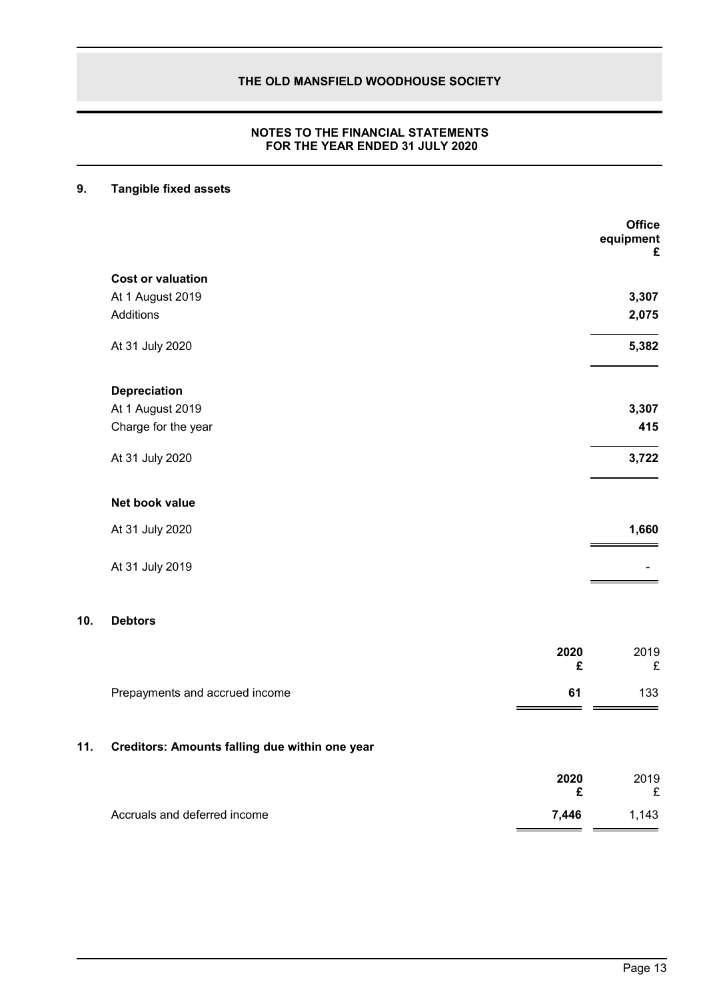# **NOTES TO THE FINANCIAL STATEMENTS FOR THE YEAR ENDED 31 JULY 2020**

# **9. Tangible fixed assets**

|     |                                                |           | <b>Office</b><br>equipment<br>£ |
|-----|------------------------------------------------|-----------|---------------------------------|
|     | <b>Cost or valuation</b>                       |           |                                 |
|     | At 1 August 2019                               |           | 3,307                           |
|     | Additions                                      |           | 2,075                           |
|     | At 31 July 2020                                |           | 5,382                           |
|     | <b>Depreciation</b>                            |           |                                 |
|     | At 1 August 2019                               |           | 3,307                           |
|     | Charge for the year                            |           | 415                             |
|     | At 31 July 2020                                |           | 3,722                           |
|     | Net book value                                 |           |                                 |
|     | At 31 July 2020                                |           | 1,660                           |
|     | At 31 July 2019                                |           |                                 |
| 10. | <b>Debtors</b>                                 |           |                                 |
|     |                                                | 2020<br>£ | 2019<br>£                       |
|     | Prepayments and accrued income                 | 61        | 133                             |
| 11. | Creditors: Amounts falling due within one year |           |                                 |
|     |                                                | 2020<br>£ | 2019<br>£                       |
|     | Accruals and deferred income                   | 7,446     | 1,143                           |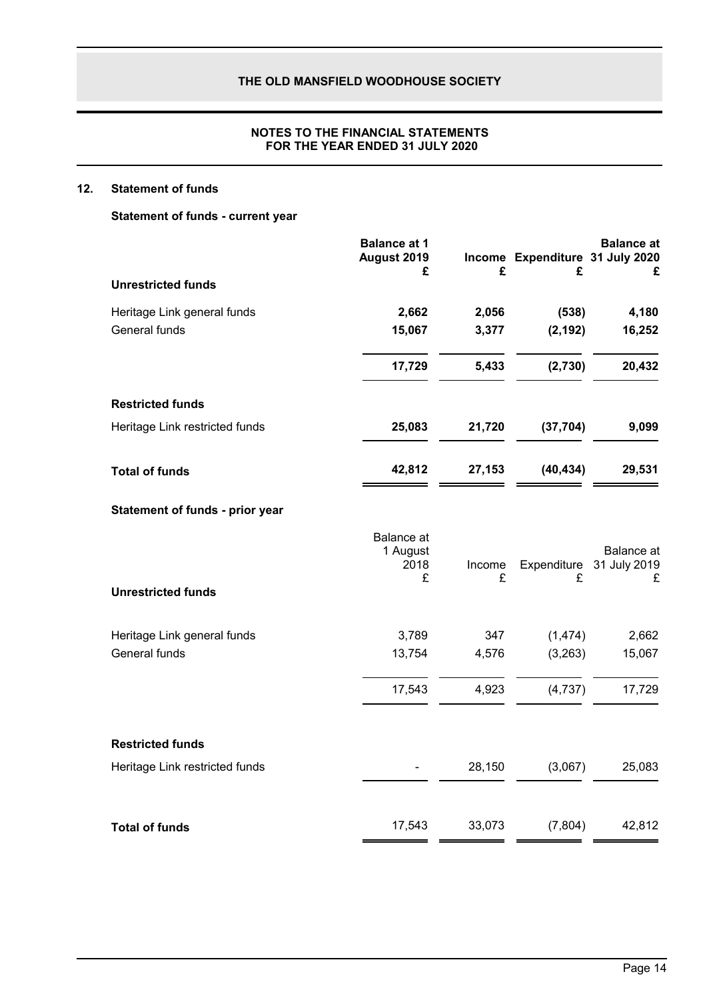# **NOTES TO THE FINANCIAL STATEMENTS FOR THE YEAR ENDED 31 JULY 2020**

# **12. Statement of funds**

**Statement of funds - current year**

|                                 | <b>Balance at 1</b><br>August 2019<br>£    | £           | Income Expenditure 31 July 2020<br>£ | <b>Balance</b> at<br>£          |
|---------------------------------|--------------------------------------------|-------------|--------------------------------------|---------------------------------|
| <b>Unrestricted funds</b>       |                                            |             |                                      |                                 |
| Heritage Link general funds     | 2,662                                      | 2,056       | (538)                                | 4,180                           |
| General funds                   | 15,067                                     | 3,377       | (2, 192)                             | 16,252                          |
|                                 | 17,729                                     | 5,433       | (2,730)                              | 20,432                          |
| <b>Restricted funds</b>         |                                            |             |                                      |                                 |
| Heritage Link restricted funds  | 25,083                                     | 21,720      | (37, 704)                            | 9,099                           |
| <b>Total of funds</b>           | 42,812                                     | 27,153      | (40, 434)                            | 29,531                          |
| Statement of funds - prior year |                                            |             |                                      |                                 |
|                                 | <b>Balance</b> at<br>1 August<br>2018<br>£ | Income<br>£ | Expenditure<br>£                     | Balance at<br>31 July 2019<br>£ |
| <b>Unrestricted funds</b>       |                                            |             |                                      |                                 |
| Heritage Link general funds     | 3,789                                      | 347         | (1, 474)                             | 2,662                           |
| General funds                   | 13,754                                     | 4,576       | (3,263)                              | 15,067                          |
|                                 | 17,543                                     | 4,923       | (4,737)                              | 17,729                          |
| <b>Restricted funds</b>         |                                            |             |                                      |                                 |
| Heritage Link restricted funds  |                                            | 28,150      | (3,067)                              | 25,083                          |
| <b>Total of funds</b>           | 17,543                                     | 33,073      | (7, 804)                             | 42,812                          |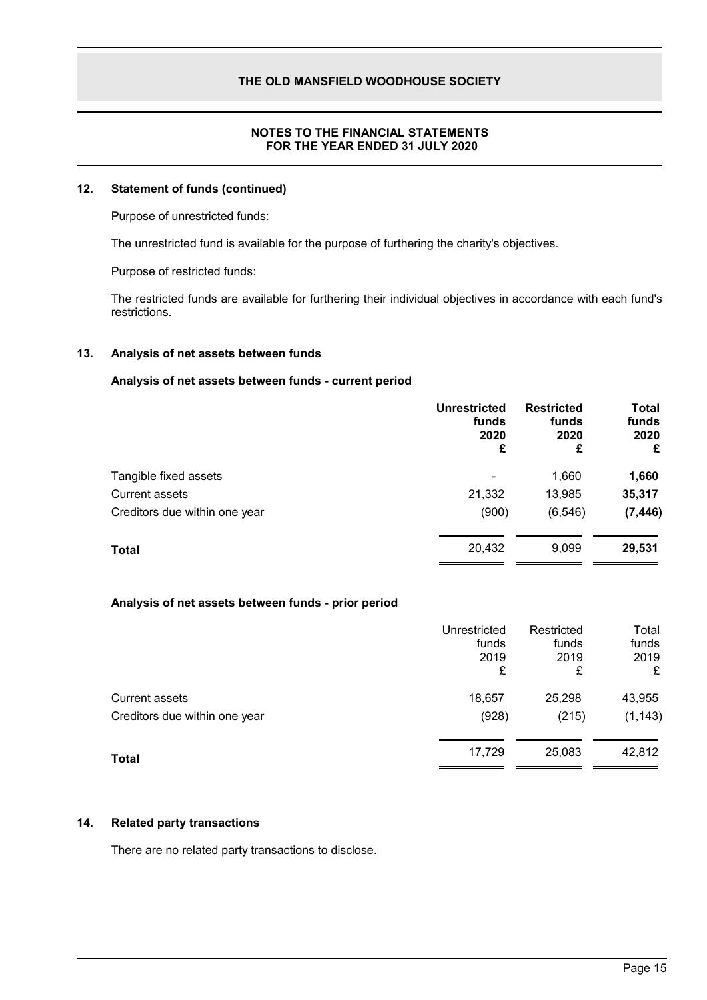# **NOTES TO THE FINANCIAL STATEMENTS FOR THE YEAR ENDED 31 JULY 2020**

# **12. Statement of funds (continued)**

Purpose of unrestricted funds:

The unrestricted fund is available for the purpose of furthering the charity's objectives.

Purpose of restricted funds:

The restricted funds are available for furthering their individual objectives in accordance with each fund's restrictions.

# **13. Analysis of net assets between funds**

### **Analysis of net assets between funds - current period**

|                               | <b>Unrestricted</b><br>funds<br>2020<br>£ | <b>Restricted</b><br>funds<br>2020<br>£ | Total<br>funds<br>2020<br>£ |
|-------------------------------|-------------------------------------------|-----------------------------------------|-----------------------------|
| Tangible fixed assets         | ۰                                         | 1,660                                   | 1,660                       |
| Current assets                | 21,332                                    | 13,985                                  | 35,317                      |
| Creditors due within one year | (900)                                     | (6, 546)                                | (7, 446)                    |
| <b>Total</b>                  | 20,432                                    | 9,099                                   | 29,531                      |

# **Analysis of net assets between funds - prior period**

|                               | Unrestricted<br>funds<br>2019<br>£ | Restricted<br>funds<br>2019<br>£ | Total<br>funds<br>2019<br>£ |
|-------------------------------|------------------------------------|----------------------------------|-----------------------------|
| <b>Current assets</b>         | 18,657                             | 25,298                           | 43,955                      |
| Creditors due within one year | (928)                              | (215)                            | (1, 143)                    |
| <b>Total</b>                  | 17,729                             | 25,083                           | 42,812                      |

#### **14. Related party transactions**

There are no related party transactions to disclose.